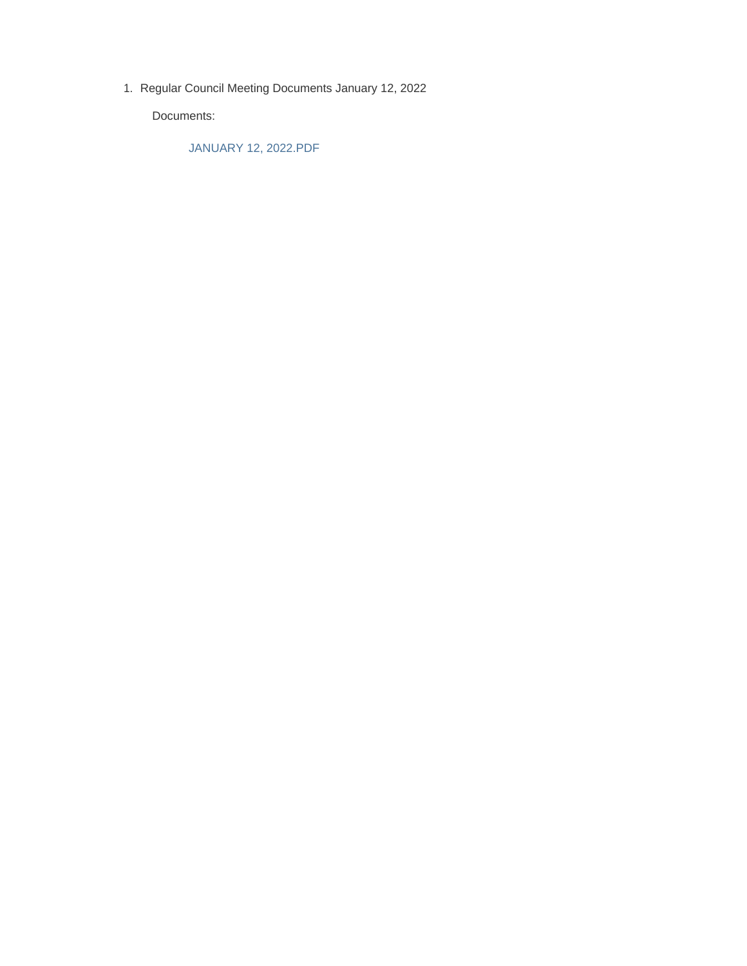1. Regular Council Meeting Documents January 12, 2022

Documents:

JANUARY 12, 2022.PDF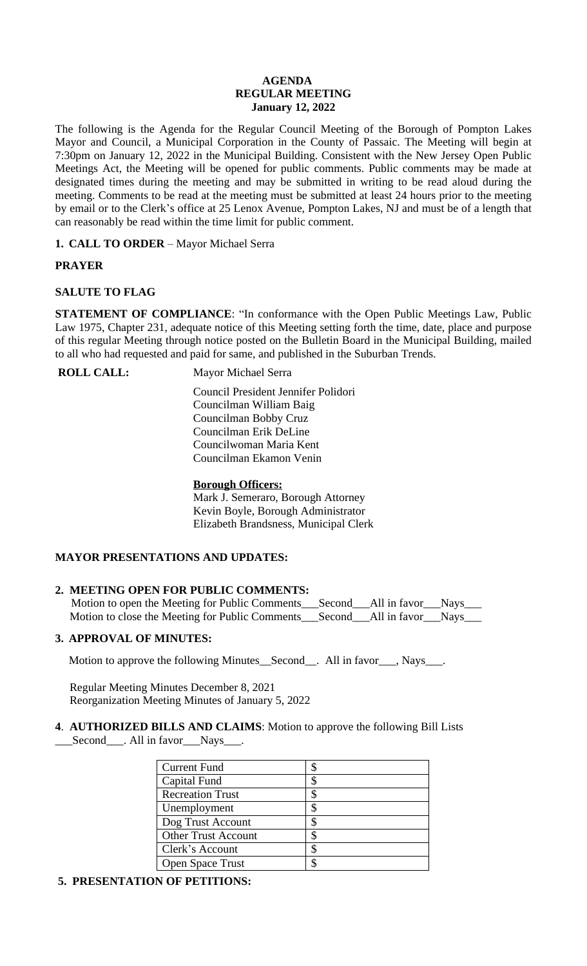#### **AGENDA REGULAR MEETING January 12, 2022**

The following is the Agenda for the Regular Council Meeting of the Borough of Pompton Lakes Mayor and Council, a Municipal Corporation in the County of Passaic. The Meeting will begin at 7:30pm on January 12, 2022 in the Municipal Building. Consistent with the New Jersey Open Public Meetings Act, the Meeting will be opened for public comments. Public comments may be made at designated times during the meeting and may be submitted in writing to be read aloud during the meeting. Comments to be read at the meeting must be submitted at least 24 hours prior to the meeting by email or to the Clerk's office at 25 Lenox Avenue, Pompton Lakes, NJ and must be of a length that can reasonably be read within the time limit for public comment.

**1. CALL TO ORDER** – Mayor Michael Serra

## **PRAYER**

## **SALUTE TO FLAG**

**STATEMENT OF COMPLIANCE**: "In conformance with the Open Public Meetings Law, Public Law 1975, Chapter 231, adequate notice of this Meeting setting forth the time, date, place and purpose of this regular Meeting through notice posted on the Bulletin Board in the Municipal Building, mailed to all who had requested and paid for same, and published in the Suburban Trends.

**ROLL CALL:** Mayor Michael Serra

 Council President Jennifer Polidori Councilman William Baig Councilman Bobby Cruz Councilman Erik DeLine Councilwoman Maria Kent Councilman Ekamon Venin

## **Borough Officers:**

Mark J. Semeraro, Borough Attorney Kevin Boyle, Borough Administrator Elizabeth Brandsness, Municipal Clerk

## **MAYOR PRESENTATIONS AND UPDATES:**

## **2. MEETING OPEN FOR PUBLIC COMMENTS:**

| Motion to open the Meeting for Public Comments___Second___All in favor___Nays___  |  |  |
|-----------------------------------------------------------------------------------|--|--|
| Motion to close the Meeting for Public Comments___Second___All in favor___Nays___ |  |  |

## **3. APPROVAL OF MINUTES:**

Motion to approve the following Minutes\_Second\_\_. All in favor\_\_\_, Nays\_\_\_.

 Regular Meeting Minutes December 8, 2021 Reorganization Meeting Minutes of January 5, 2022

## **4**. **AUTHORIZED BILLS AND CLAIMS**: Motion to approve the following Bill Lists Second \_\_\_. All in favor \_\_\_Nays\_\_\_.

| <b>Current Fund</b>        |    |
|----------------------------|----|
| Capital Fund               |    |
| <b>Recreation Trust</b>    |    |
| Unemployment               |    |
| Dog Trust Account          |    |
| <b>Other Trust Account</b> |    |
| Clerk's Account            | \$ |
| <b>Open Space Trust</b>    |    |

# **5. PRESENTATION OF PETITIONS:**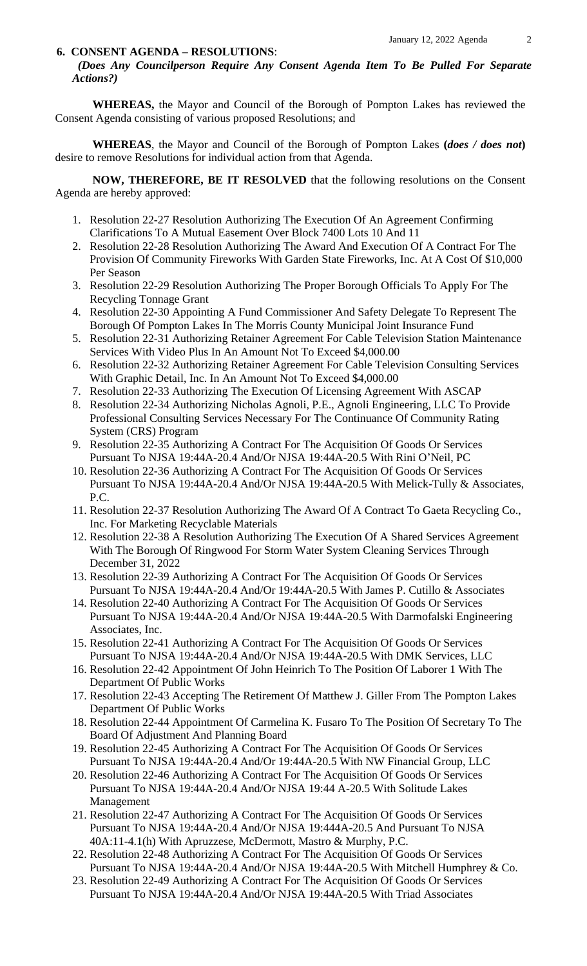#### **6. CONSENT AGENDA – RESOLUTIONS**:

*(Does Any Councilperson Require Any Consent Agenda Item To Be Pulled For Separate Actions?)*

**WHEREAS,** the Mayor and Council of the Borough of Pompton Lakes has reviewed the Consent Agenda consisting of various proposed Resolutions; and

**WHEREAS**, the Mayor and Council of the Borough of Pompton Lakes **(***does / does not***)** desire to remove Resolutions for individual action from that Agenda.

**NOW, THEREFORE, BE IT RESOLVED** that the following resolutions on the Consent Agenda are hereby approved:

- 1. Resolution 22-27 Resolution Authorizing The Execution Of An Agreement Confirming Clarifications To A Mutual Easement Over Block 7400 Lots 10 And 11
- 2. Resolution 22-28 Resolution Authorizing The Award And Execution Of A Contract For The Provision Of Community Fireworks With Garden State Fireworks, Inc. At A Cost Of \$10,000 Per Season
- 3. Resolution 22-29 Resolution Authorizing The Proper Borough Officials To Apply For The Recycling Tonnage Grant
- 4. Resolution 22-30 Appointing A Fund Commissioner And Safety Delegate To Represent The Borough Of Pompton Lakes In The Morris County Municipal Joint Insurance Fund
- 5. Resolution 22-31 Authorizing Retainer Agreement For Cable Television Station Maintenance Services With Video Plus In An Amount Not To Exceed \$4,000.00
- 6. Resolution 22-32 Authorizing Retainer Agreement For Cable Television Consulting Services With Graphic Detail, Inc. In An Amount Not To Exceed \$4,000.00
- 7. Resolution 22-33 Authorizing The Execution Of Licensing Agreement With ASCAP
- 8. Resolution 22-34 Authorizing Nicholas Agnoli, P.E., Agnoli Engineering, LLC To Provide Professional Consulting Services Necessary For The Continuance Of Community Rating System (CRS) Program
- 9. Resolution 22-35 Authorizing A Contract For The Acquisition Of Goods Or Services Pursuant To NJSA 19:44A-20.4 And/Or NJSA 19:44A-20.5 With Rini O'Neil, PC
- 10. Resolution 22-36 Authorizing A Contract For The Acquisition Of Goods Or Services Pursuant To NJSA 19:44A-20.4 And/Or NJSA 19:44A-20.5 With Melick-Tully & Associates, P.C.
- 11. Resolution 22-37 Resolution Authorizing The Award Of A Contract To Gaeta Recycling Co., Inc. For Marketing Recyclable Materials
- 12. Resolution 22-38 A Resolution Authorizing The Execution Of A Shared Services Agreement With The Borough Of Ringwood For Storm Water System Cleaning Services Through December 31, 2022
- 13. Resolution 22-39 Authorizing A Contract For The Acquisition Of Goods Or Services Pursuant To NJSA 19:44A-20.4 And/Or 19:44A-20.5 With James P. Cutillo & Associates
- 14. Resolution 22-40 Authorizing A Contract For The Acquisition Of Goods Or Services Pursuant To NJSA 19:44A-20.4 And/Or NJSA 19:44A-20.5 With Darmofalski Engineering Associates, Inc.
- 15. Resolution 22-41 Authorizing A Contract For The Acquisition Of Goods Or Services Pursuant To NJSA 19:44A-20.4 And/Or NJSA 19:44A-20.5 With DMK Services, LLC
- 16. Resolution 22-42 Appointment Of John Heinrich To The Position Of Laborer 1 With The Department Of Public Works
- 17. Resolution 22-43 Accepting The Retirement Of Matthew J. Giller From The Pompton Lakes Department Of Public Works
- 18. Resolution 22-44 Appointment Of Carmelina K. Fusaro To The Position Of Secretary To The Board Of Adjustment And Planning Board
- 19. Resolution 22-45 Authorizing A Contract For The Acquisition Of Goods Or Services Pursuant To NJSA 19:44A-20.4 And/Or 19:44A-20.5 With NW Financial Group, LLC
- 20. Resolution 22-46 Authorizing A Contract For The Acquisition Of Goods Or Services Pursuant To NJSA 19:44A-20.4 And/Or NJSA 19:44 A-20.5 With Solitude Lakes Management
- 21. Resolution 22-47 Authorizing A Contract For The Acquisition Of Goods Or Services Pursuant To NJSA 19:44A-20.4 And/Or NJSA 19:444A-20.5 And Pursuant To NJSA 40A:11-4.1(h) With Apruzzese, McDermott, Mastro & Murphy, P.C.
- 22. Resolution 22-48 Authorizing A Contract For The Acquisition Of Goods Or Services Pursuant To NJSA 19:44A-20.4 And/Or NJSA 19:44A-20.5 With Mitchell Humphrey & Co.
- 23. Resolution 22-49 Authorizing A Contract For The Acquisition Of Goods Or Services Pursuant To NJSA 19:44A-20.4 And/Or NJSA 19:44A-20.5 With Triad Associates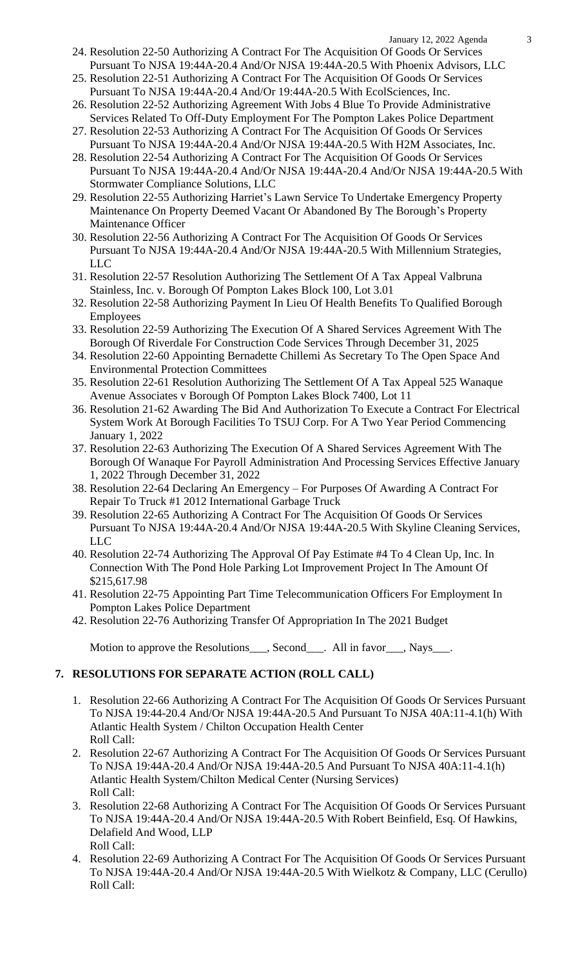- 24. Resolution 22-50 Authorizing A Contract For The Acquisition Of Goods Or Services Pursuant To NJSA 19:44A-20.4 And/Or NJSA 19:44A-20.5 With Phoenix Advisors, LLC
- 25. Resolution 22-51 Authorizing A Contract For The Acquisition Of Goods Or Services Pursuant To NJSA 19:44A-20.4 And/Or 19:44A-20.5 With EcolSciences, Inc.
- 26. Resolution 22-52 Authorizing Agreement With Jobs 4 Blue To Provide Administrative Services Related To Off-Duty Employment For The Pompton Lakes Police Department
- 27. Resolution 22-53 Authorizing A Contract For The Acquisition Of Goods Or Services Pursuant To NJSA 19:44A-20.4 And/Or NJSA 19:44A-20.5 With H2M Associates, Inc.
- 28. Resolution 22-54 Authorizing A Contract For The Acquisition Of Goods Or Services Pursuant To NJSA 19:44A-20.4 And/Or NJSA 19:44A-20.4 And/Or NJSA 19:44A-20.5 With Stormwater Compliance Solutions, LLC
- 29. Resolution 22-55 Authorizing Harriet's Lawn Service To Undertake Emergency Property Maintenance On Property Deemed Vacant Or Abandoned By The Borough's Property Maintenance Officer
- 30. Resolution 22-56 Authorizing A Contract For The Acquisition Of Goods Or Services Pursuant To NJSA 19:44A-20.4 And/Or NJSA 19:44A-20.5 With Millennium Strategies, LLC
- 31. Resolution 22-57 Resolution Authorizing The Settlement Of A Tax Appeal Valbruna Stainless, Inc. v. Borough Of Pompton Lakes Block 100, Lot 3.01
- 32. Resolution 22-58 Authorizing Payment In Lieu Of Health Benefits To Qualified Borough Employees
- 33. Resolution 22-59 Authorizing The Execution Of A Shared Services Agreement With The Borough Of Riverdale For Construction Code Services Through December 31, 2025
- 34. Resolution 22-60 Appointing Bernadette Chillemi As Secretary To The Open Space And Environmental Protection Committees
- 35. Resolution 22-61 Resolution Authorizing The Settlement Of A Tax Appeal 525 Wanaque Avenue Associates v Borough Of Pompton Lakes Block 7400, Lot 11
- 36. Resolution 21-62 Awarding The Bid And Authorization To Execute a Contract For Electrical System Work At Borough Facilities To TSUJ Corp. For A Two Year Period Commencing January 1, 2022
- 37. Resolution 22-63 Authorizing The Execution Of A Shared Services Agreement With The Borough Of Wanaque For Payroll Administration And Processing Services Effective January 1, 2022 Through December 31, 2022
- 38. Resolution 22-64 Declaring An Emergency For Purposes Of Awarding A Contract For Repair To Truck #1 2012 International Garbage Truck
- 39. Resolution 22-65 Authorizing A Contract For The Acquisition Of Goods Or Services Pursuant To NJSA 19:44A-20.4 And/Or NJSA 19:44A-20.5 With Skyline Cleaning Services, LLC
- 40. Resolution 22-74 Authorizing The Approval Of Pay Estimate #4 To 4 Clean Up, Inc. In Connection With The Pond Hole Parking Lot Improvement Project In The Amount Of \$215,617.98
- 41. Resolution 22-75 Appointing Part Time Telecommunication Officers For Employment In Pompton Lakes Police Department
- 42. Resolution 22-76 Authorizing Transfer Of Appropriation In The 2021 Budget

Motion to approve the Resolutions\_\_\_, Second\_\_\_. All in favor\_\_\_, Nays\_\_\_.

# **7. RESOLUTIONS FOR SEPARATE ACTION (ROLL CALL)**

- 1. Resolution 22-66 Authorizing A Contract For The Acquisition Of Goods Or Services Pursuant To NJSA 19:44-20.4 And/Or NJSA 19:44A-20.5 And Pursuant To NJSA 40A:11-4.1(h) With Atlantic Health System / Chilton Occupation Health Center Roll Call:
- 2. Resolution 22-67 Authorizing A Contract For The Acquisition Of Goods Or Services Pursuant To NJSA 19:44A-20.4 And/Or NJSA 19:44A-20.5 And Pursuant To NJSA 40A:11-4.1(h) Atlantic Health System/Chilton Medical Center (Nursing Services) Roll Call:
- 3. Resolution 22-68 Authorizing A Contract For The Acquisition Of Goods Or Services Pursuant To NJSA 19:44A-20.4 And/Or NJSA 19:44A-20.5 With Robert Beinfield, Esq. Of Hawkins, Delafield And Wood, LLP Roll Call:
- 4. Resolution 22-69 Authorizing A Contract For The Acquisition Of Goods Or Services Pursuant To NJSA 19:44A-20.4 And/Or NJSA 19:44A-20.5 With Wielkotz & Company, LLC (Cerullo) Roll Call: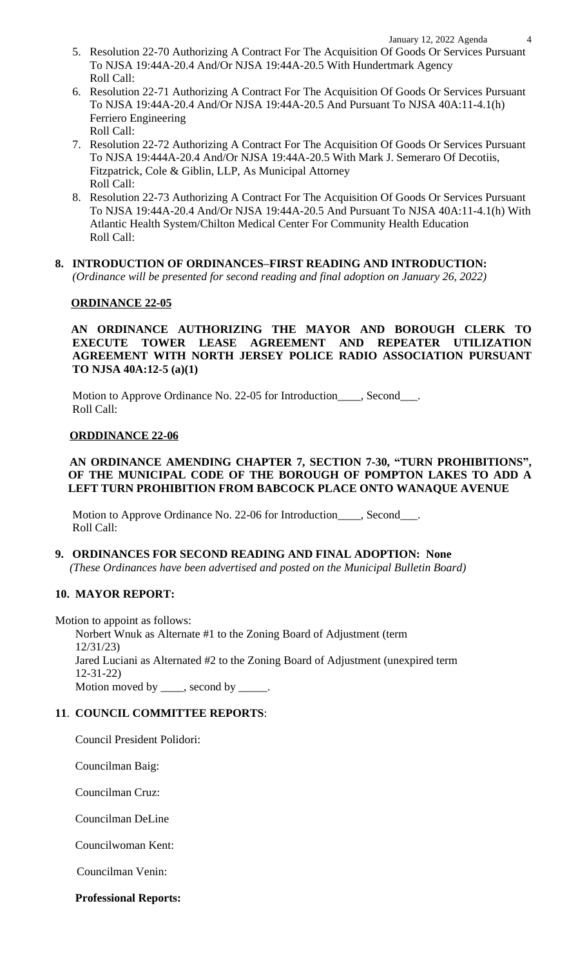- 5. Resolution 22-70 Authorizing A Contract For The Acquisition Of Goods Or Services Pursuant To NJSA 19:44A-20.4 And/Or NJSA 19:44A-20.5 With Hundertmark Agency Roll Call:
- 6. Resolution 22-71 Authorizing A Contract For The Acquisition Of Goods Or Services Pursuant To NJSA 19:44A-20.4 And/Or NJSA 19:44A-20.5 And Pursuant To NJSA 40A:11-4.1(h) Ferriero Engineering Roll Call:
- 7. Resolution 22-72 Authorizing A Contract For The Acquisition Of Goods Or Services Pursuant To NJSA 19:444A-20.4 And/Or NJSA 19:44A-20.5 With Mark J. Semeraro Of Decotiis, Fitzpatrick, Cole & Giblin, LLP, As Municipal Attorney Roll Call:
- 8. Resolution 22-73 Authorizing A Contract For The Acquisition Of Goods Or Services Pursuant To NJSA 19:44A-20.4 And/Or NJSA 19:44A-20.5 And Pursuant To NJSA 40A:11-4.1(h) With Atlantic Health System/Chilton Medical Center For Community Health Education Roll Call:
- **8. INTRODUCTION OF ORDINANCES–FIRST READING AND INTRODUCTION:**  *(Ordinance will be presented for second reading and final adoption on January 26, 2022)*

#### **ORDINANCE 22-05**

**AN ORDINANCE AUTHORIZING THE MAYOR AND BOROUGH CLERK TO EXECUTE TOWER LEASE AGREEMENT AND REPEATER UTILIZATION AGREEMENT WITH NORTH JERSEY POLICE RADIO ASSOCIATION PURSUANT TO NJSA 40A:12-5 (a)(1)** 

Motion to Approve Ordinance No. 22-05 for Introduction\_\_\_\_, Second\_\_\_. Roll Call:

#### **ORDDINANCE 22-06**

### **AN ORDINANCE AMENDING CHAPTER 7, SECTION 7-30, "TURN PROHIBITIONS" , OF THE MUNICIPAL CODE OF THE BOROUGH OF POMPTON LAKES TO ADD A LEFT TURN PROHIBITION FROM BABCOCK PLACE ONTO WANAQUE AVENUE**

 Motion to Approve Ordinance No. 22-06 for Introduction\_\_\_\_, Second\_\_\_. Roll Call:

## **9. ORDINANCES FOR SECOND READING AND FINAL ADOPTION: None**

 *(These Ordinances have been advertised and posted on the Municipal Bulletin Board)*

## **10. MAYOR REPORT:**

Motion to appoint as follows: Norbert Wnuk as Alternate #1 to the Zoning Board of Adjustment (term 12/31/23) Jared Luciani as Alternated #2 to the Zoning Board of Adjustment (unexpired term 12-31-22) Motion moved by \_\_\_\_, second by \_\_\_\_\_.

#### **11**. **COUNCIL COMMITTEE REPORTS**:

Council President Polidori:

Councilman Baig:

Councilman Cruz:

Councilman DeLine

Councilwoman Kent:

Councilman Venin:

**Professional Reports:**